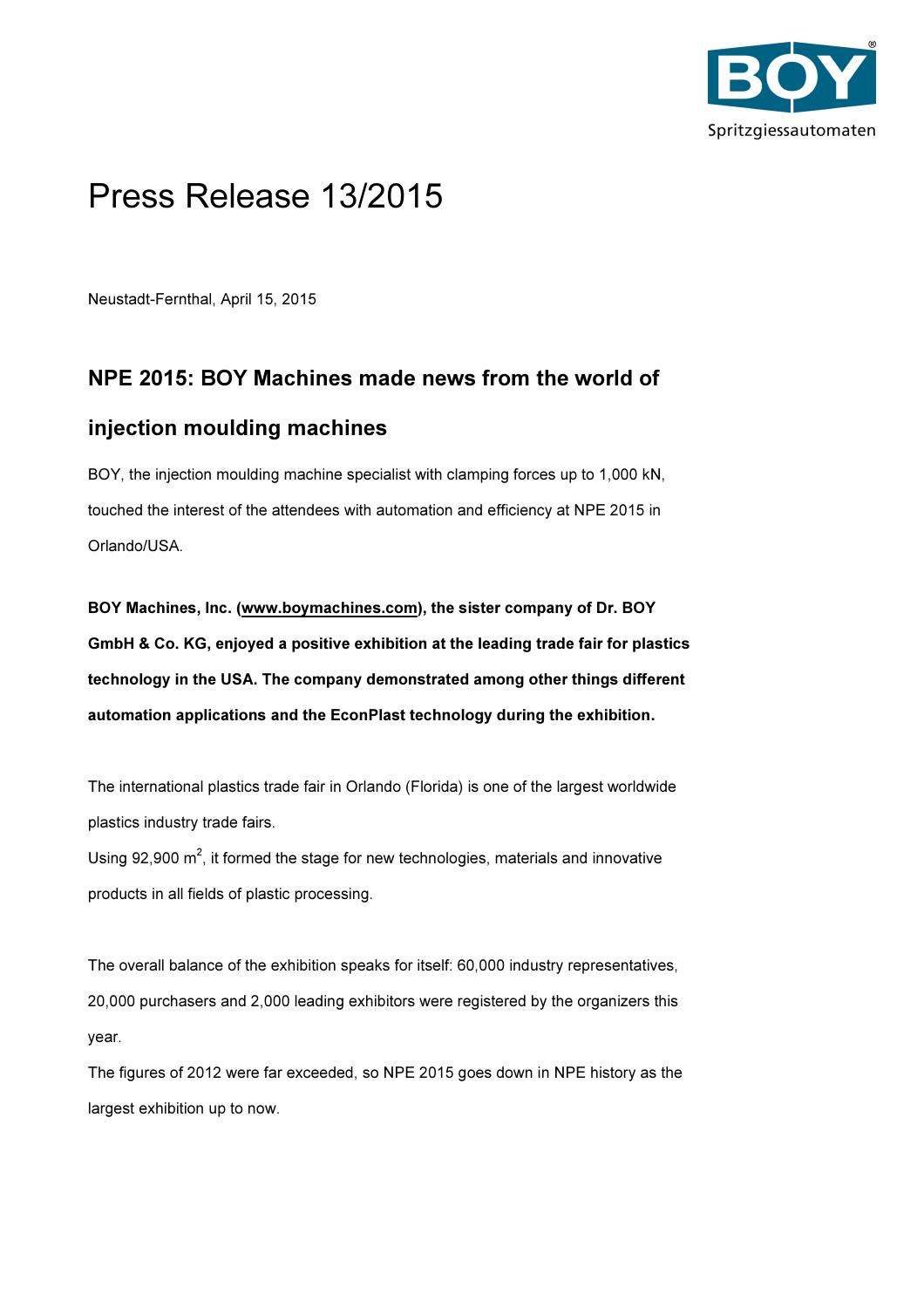

# Press Release 13/2015

Neustadt-Fernthal, April 15, 2015

## NPE 2015: BOY Machines made news from the world of

### injection moulding machines

BOY, the injection moulding machine specialist with clamping forces up to 1,000 kN, touched the interest of the attendees with automation and efficiency at NPE 2015 in Orlando/USA.

BOY Machines, Inc. (www.boymachines.com), the sister company of Dr. BOY GmbH & Co. KG, enjoyed a positive exhibition at the leading trade fair for plastics technology in the USA. The company demonstrated among other things different automation applications and the EconPlast technology during the exhibition.

The international plastics trade fair in Orlando (Florida) is one of the largest worldwide plastics industry trade fairs.

Using 92,900  $m^2$ , it formed the stage for new technologies, materials and innovative products in all fields of plastic processing.

The overall balance of the exhibition speaks for itself: 60,000 industry representatives, 20,000 purchasers and 2,000 leading exhibitors were registered by the organizers this year.

The figures of 2012 were far exceeded, so NPE 2015 goes down in NPE history as the largest exhibition up to now.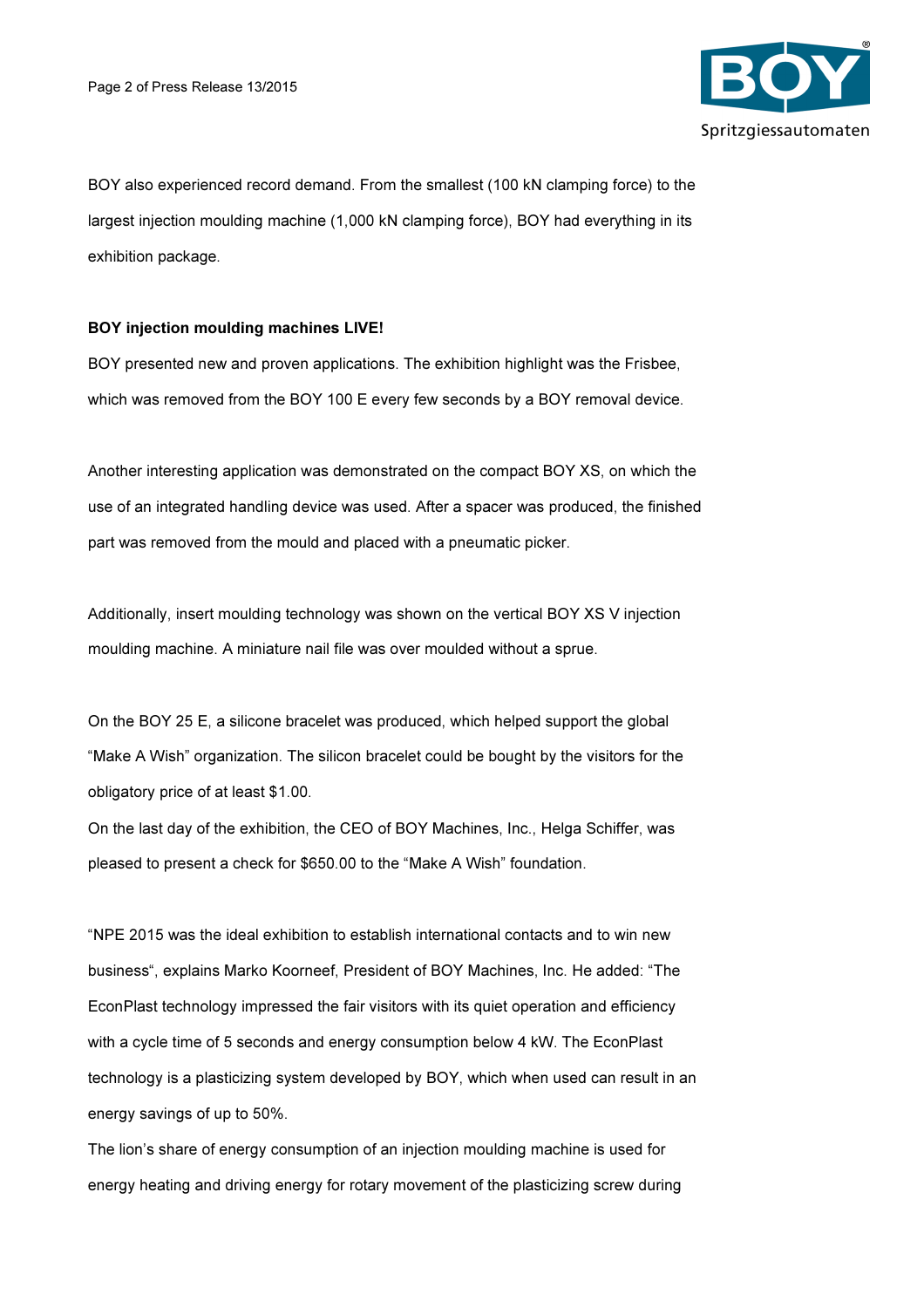

BOY also experienced record demand. From the smallest (100 kN clamping force) to the largest injection moulding machine (1,000 kN clamping force), BOY had everything in its exhibition package.

#### BOY injection moulding machines LIVE!

BOY presented new and proven applications. The exhibition highlight was the Frisbee, which was removed from the BOY 100 E every few seconds by a BOY removal device.

Another interesting application was demonstrated on the compact BOY XS, on which the use of an integrated handling device was used. After a spacer was produced, the finished part was removed from the mould and placed with a pneumatic picker.

Additionally, insert moulding technology was shown on the vertical BOY XS V injection moulding machine. A miniature nail file was over moulded without a sprue.

On the BOY 25 E, a silicone bracelet was produced, which helped support the global "Make A Wish" organization. The silicon bracelet could be bought by the visitors for the obligatory price of at least \$1.00.

On the last day of the exhibition, the CEO of BOY Machines, Inc., Helga Schiffer, was pleased to present a check for \$650.00 to the "Make A Wish" foundation.

"NPE 2015 was the ideal exhibition to establish international contacts and to win new business", explains Marko Koorneef, President of BOY Machines, Inc. He added: "The EconPlast technology impressed the fair visitors with its quiet operation and efficiency with a cycle time of 5 seconds and energy consumption below 4 kW. The EconPlast technology is a plasticizing system developed by BOY, which when used can result in an energy savings of up to 50%.

The lion's share of energy consumption of an injection moulding machine is used for energy heating and driving energy for rotary movement of the plasticizing screw during